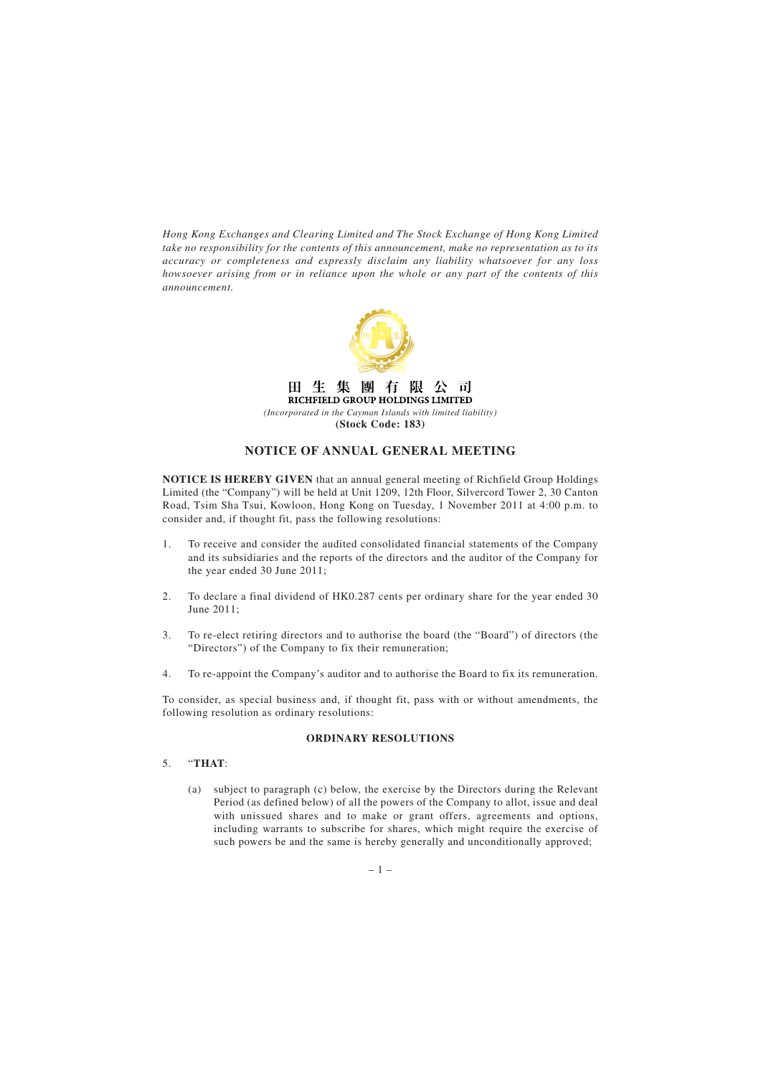*Hong Kong Exchanges and Clearing Limited and The Stock Exchange of Hong Kong Limited take no responsibility for the contents of this announcement, make no representation as to its accuracy or completeness and expressly disclaim any liability whatsoever for any loss howsoever arising from or in reliance upon the whole or any part of the contents of this announcement.*



#### 生 集 團 阻  $H^-$ 有 公 пĪ RICHFIELD GROUP HOLDINGS LIMITED

*(Incorporated in the Cayman Islands with limited liability)* **(Stock Code: 183)**

# **NOTICE OF ANNUAL GENERAL MEETING**

**NOTICE IS HEREBY GIVEN** that an annual general meeting of Richfield Group Holdings Limited (the "Company") will be held at Unit 1209, 12th Floor, Silvercord Tower 2, 30 Canton Road, Tsim Sha Tsui, Kowloon, Hong Kong on Tuesday, 1 November 2011 at 4:00 p.m. to consider and, if thought fit, pass the following resolutions:

- 1. To receive and consider the audited consolidated financial statements of the Company and its subsidiaries and the reports of the directors and the auditor of the Company for the year ended 30 June 2011;
- 2. To declare a final dividend of HK0.287 cents per ordinary share for the year ended 30 June 2011;
- 3. To re-elect retiring directors and to authorise the board (the "Board") of directors (the "Directors") of the Company to fix their remuneration;
- 4. To re-appoint the Company's auditor and to authorise the Board to fix its remuneration.

To consider, as special business and, if thought fit, pass with or without amendments, the following resolution as ordinary resolutions:

#### **ORDINARY RESOLUTIONS**

## 5. "**THAT**:

(a) subject to paragraph (c) below, the exercise by the Directors during the Relevant Period (as defined below) of all the powers of the Company to allot, issue and deal with unissued shares and to make or grant offers, agreements and options, including warrants to subscribe for shares, which might require the exercise of such powers be and the same is hereby generally and unconditionally approved;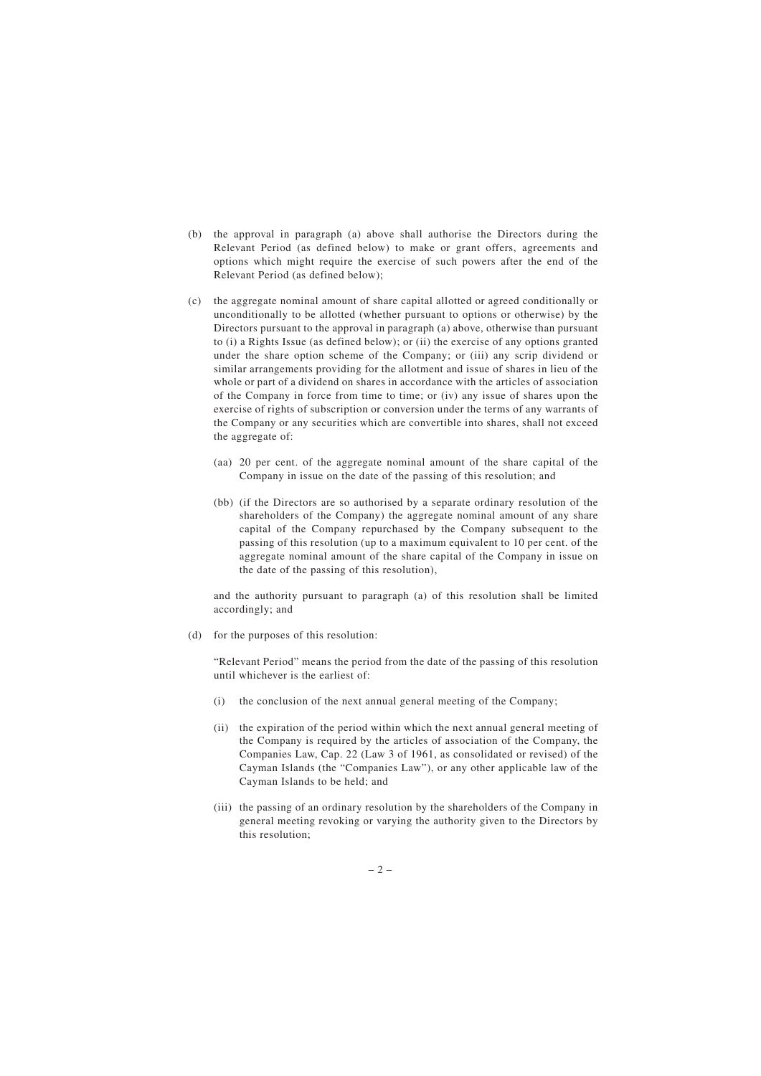- (b) the approval in paragraph (a) above shall authorise the Directors during the Relevant Period (as defined below) to make or grant offers, agreements and options which might require the exercise of such powers after the end of the Relevant Period (as defined below);
- (c) the aggregate nominal amount of share capital allotted or agreed conditionally or unconditionally to be allotted (whether pursuant to options or otherwise) by the Directors pursuant to the approval in paragraph (a) above, otherwise than pursuant to (i) a Rights Issue (as defined below); or (ii) the exercise of any options granted under the share option scheme of the Company; or (iii) any scrip dividend or similar arrangements providing for the allotment and issue of shares in lieu of the whole or part of a dividend on shares in accordance with the articles of association of the Company in force from time to time; or (iv) any issue of shares upon the exercise of rights of subscription or conversion under the terms of any warrants of the Company or any securities which are convertible into shares, shall not exceed the aggregate of:
	- (aa) 20 per cent. of the aggregate nominal amount of the share capital of the Company in issue on the date of the passing of this resolution; and
	- (bb) (if the Directors are so authorised by a separate ordinary resolution of the shareholders of the Company) the aggregate nominal amount of any share capital of the Company repurchased by the Company subsequent to the passing of this resolution (up to a maximum equivalent to 10 per cent. of the aggregate nominal amount of the share capital of the Company in issue on the date of the passing of this resolution),

and the authority pursuant to paragraph (a) of this resolution shall be limited accordingly; and

(d) for the purposes of this resolution:

"Relevant Period" means the period from the date of the passing of this resolution until whichever is the earliest of:

- (i) the conclusion of the next annual general meeting of the Company;
- (ii) the expiration of the period within which the next annual general meeting of the Company is required by the articles of association of the Company, the Companies Law, Cap. 22 (Law 3 of 1961, as consolidated or revised) of the Cayman Islands (the "Companies Law"), or any other applicable law of the Cayman Islands to be held; and
- (iii) the passing of an ordinary resolution by the shareholders of the Company in general meeting revoking or varying the authority given to the Directors by this resolution;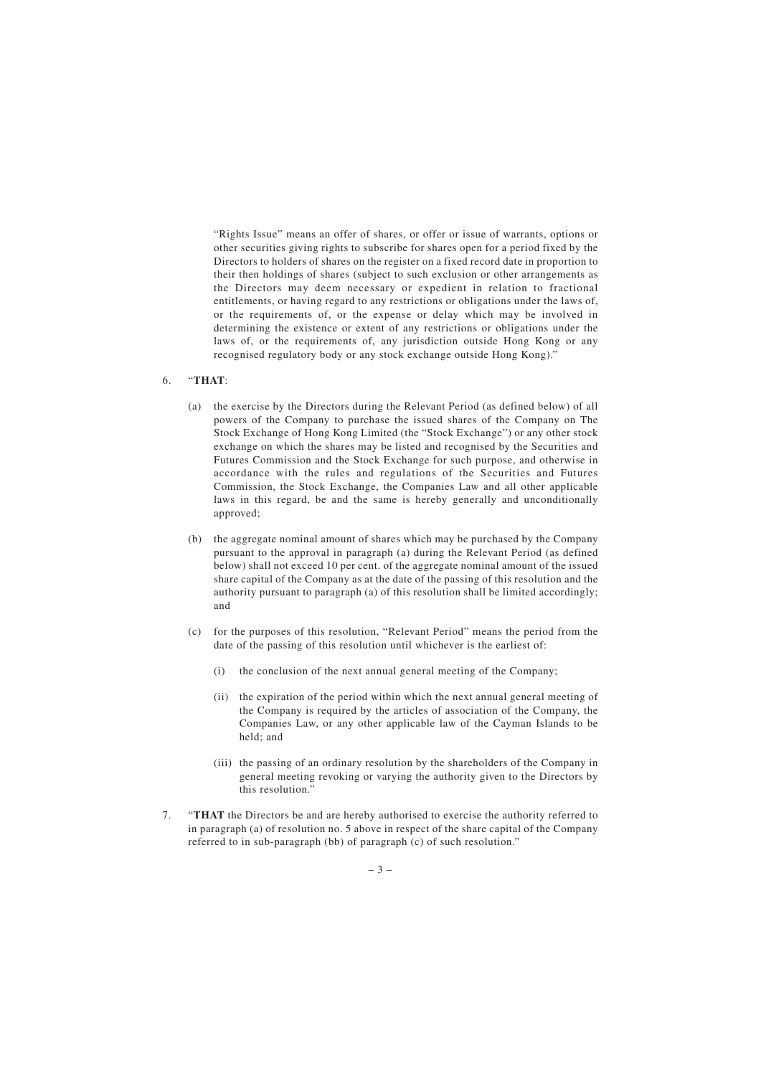"Rights Issue" means an offer of shares, or offer or issue of warrants, options or other securities giving rights to subscribe for shares open for a period fixed by the Directors to holders of shares on the register on a fixed record date in proportion to their then holdings of shares (subject to such exclusion or other arrangements as the Directors may deem necessary or expedient in relation to fractional entitlements, or having regard to any restrictions or obligations under the laws of, or the requirements of, or the expense or delay which may be involved in determining the existence or extent of any restrictions or obligations under the laws of, or the requirements of, any jurisdiction outside Hong Kong or any recognised regulatory body or any stock exchange outside Hong Kong)."

#### 6. "**THAT**:

- (a) the exercise by the Directors during the Relevant Period (as defined below) of all powers of the Company to purchase the issued shares of the Company on The Stock Exchange of Hong Kong Limited (the "Stock Exchange") or any other stock exchange on which the shares may be listed and recognised by the Securities and Futures Commission and the Stock Exchange for such purpose, and otherwise in accordance with the rules and regulations of the Securities and Futures Commission, the Stock Exchange, the Companies Law and all other applicable laws in this regard, be and the same is hereby generally and unconditionally approved;
- (b) the aggregate nominal amount of shares which may be purchased by the Company pursuant to the approval in paragraph (a) during the Relevant Period (as defined below) shall not exceed 10 per cent. of the aggregate nominal amount of the issued share capital of the Company as at the date of the passing of this resolution and the authority pursuant to paragraph (a) of this resolution shall be limited accordingly; and
- (c) for the purposes of this resolution, "Relevant Period" means the period from the date of the passing of this resolution until whichever is the earliest of:
	- (i) the conclusion of the next annual general meeting of the Company;
	- (ii) the expiration of the period within which the next annual general meeting of the Company is required by the articles of association of the Company, the Companies Law, or any other applicable law of the Cayman Islands to be held; and
	- (iii) the passing of an ordinary resolution by the shareholders of the Company in general meeting revoking or varying the authority given to the Directors by this resolution."
- 7. "**THAT** the Directors be and are hereby authorised to exercise the authority referred to in paragraph (a) of resolution no. 5 above in respect of the share capital of the Company referred to in sub-paragraph (bb) of paragraph (c) of such resolution."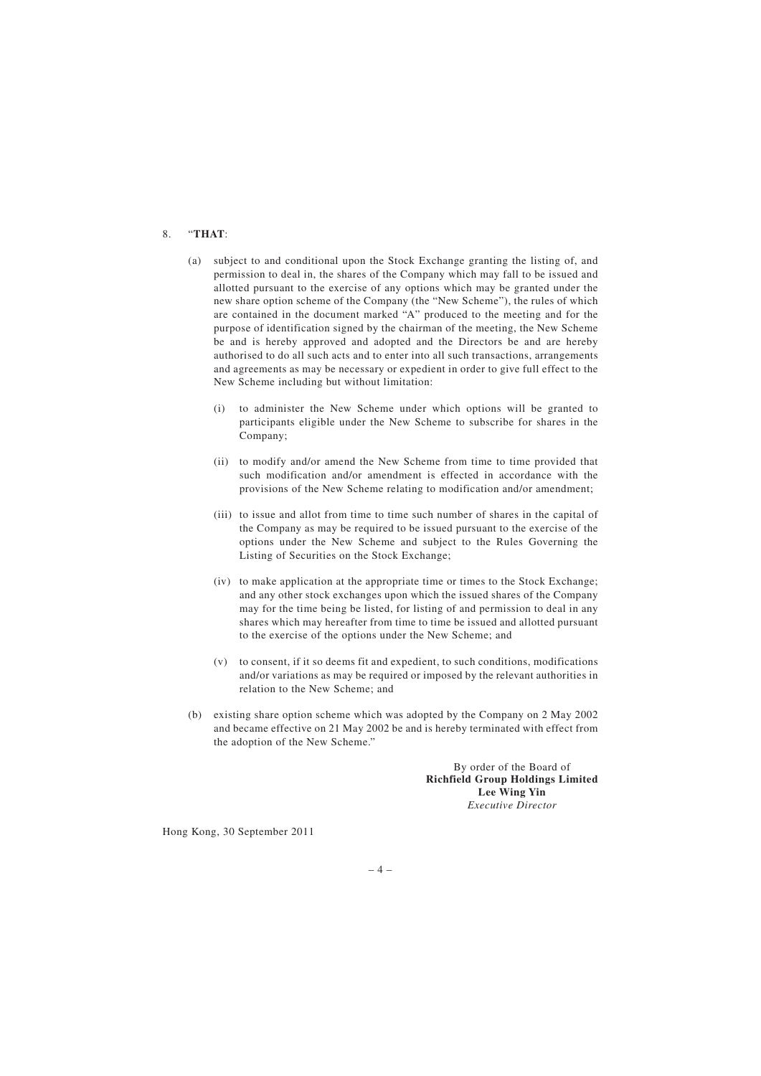## 8. "**THAT**:

- (a) subject to and conditional upon the Stock Exchange granting the listing of, and permission to deal in, the shares of the Company which may fall to be issued and allotted pursuant to the exercise of any options which may be granted under the new share option scheme of the Company (the "New Scheme"), the rules of which are contained in the document marked "A" produced to the meeting and for the purpose of identification signed by the chairman of the meeting, the New Scheme be and is hereby approved and adopted and the Directors be and are hereby authorised to do all such acts and to enter into all such transactions, arrangements and agreements as may be necessary or expedient in order to give full effect to the New Scheme including but without limitation:
	- (i) to administer the New Scheme under which options will be granted to participants eligible under the New Scheme to subscribe for shares in the Company;
	- (ii) to modify and/or amend the New Scheme from time to time provided that such modification and/or amendment is effected in accordance with the provisions of the New Scheme relating to modification and/or amendment;
	- (iii) to issue and allot from time to time such number of shares in the capital of the Company as may be required to be issued pursuant to the exercise of the options under the New Scheme and subject to the Rules Governing the Listing of Securities on the Stock Exchange;
	- (iv) to make application at the appropriate time or times to the Stock Exchange; and any other stock exchanges upon which the issued shares of the Company may for the time being be listed, for listing of and permission to deal in any shares which may hereafter from time to time be issued and allotted pursuant to the exercise of the options under the New Scheme; and
	- (v) to consent, if it so deems fit and expedient, to such conditions, modifications and/or variations as may be required or imposed by the relevant authorities in relation to the New Scheme; and
- (b) existing share option scheme which was adopted by the Company on 2 May 2002 and became effective on 21 May 2002 be and is hereby terminated with effect from the adoption of the New Scheme."

By order of the Board of **Richfield Group Holdings Limited Lee Wing Yin** *Executive Director*

Hong Kong, 30 September 2011